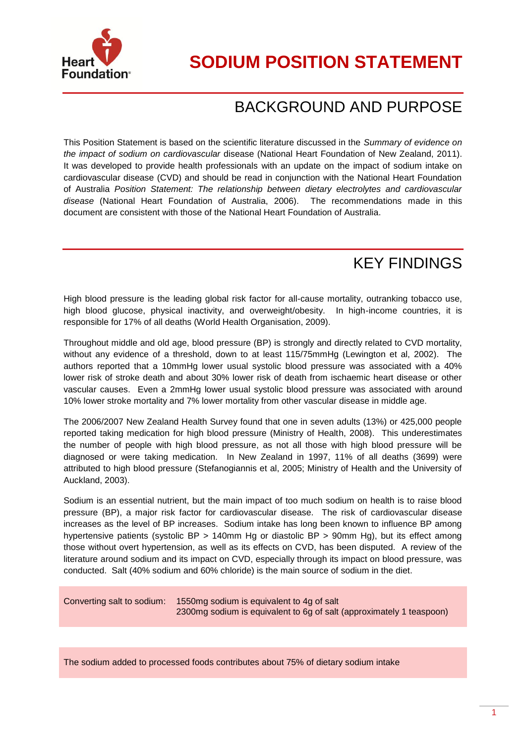

## BACKGROUND AND PURPOSE

This Position Statement is based on the scientific literature discussed in the *Summary of evidence on the impact of sodium on cardiovascular* disease (National Heart Foundation of New Zealand, 2011). It was developed to provide health professionals with an update on the impact of sodium intake on cardiovascular disease (CVD) and should be read in conjunction with the National Heart Foundation of Australia *Position Statement: The relationship between dietary electrolytes and cardiovascular disease* (National Heart Foundation of Australia, 2006). The recommendations made in this document are consistent with those of the National Heart Foundation of Australia.

## KEY FINDINGS

High blood pressure is the leading global risk factor for all-cause mortality, outranking tobacco use, high blood glucose, physical inactivity, and overweight/obesity. In high-income countries, it is responsible for 17% of all deaths (World Health Organisation, 2009).

Throughout middle and old age, blood pressure (BP) is strongly and directly related to CVD mortality, without any evidence of a threshold, down to at least 115/75mmHg (Lewington et al, 2002). The authors reported that a 10mmHg lower usual systolic blood pressure was associated with a 40% lower risk of stroke death and about 30% lower risk of death from ischaemic heart disease or other vascular causes. Even a 2mmHg lower usual systolic blood pressure was associated with around 10% lower stroke mortality and 7% lower mortality from other vascular disease in middle age.

The 2006/2007 New Zealand Health Survey found that one in seven adults (13%) or 425,000 people reported taking medication for high blood pressure (Ministry of Health, 2008). This underestimates the number of people with high blood pressure, as not all those with high blood pressure will be diagnosed or were taking medication. In New Zealand in 1997, 11% of all deaths (3699) were attributed to high blood pressure (Stefanogiannis et al, 2005; Ministry of Health and the University of Auckland, 2003).

Sodium is an essential nutrient, but the main impact of too much sodium on health is to raise blood pressure (BP), a major risk factor for cardiovascular disease. The risk of cardiovascular disease increases as the level of BP increases. Sodium intake has long been known to influence BP among hypertensive patients (systolic BP > 140mm Hg or diastolic BP > 90mm Hg), but its effect among those without overt hypertension, as well as its effects on CVD, has been disputed. A review of the literature around sodium and its impact on CVD, especially through its impact on blood pressure, was conducted. Salt (40% sodium and 60% chloride) is the main source of sodium in the diet.

Converting salt to sodium: 1550mg sodium is equivalent to 4g of salt 2300mg sodium is equivalent to 6g of salt (approximately 1 teaspoon)

The sodium added to processed foods contributes about 75% of dietary sodium intake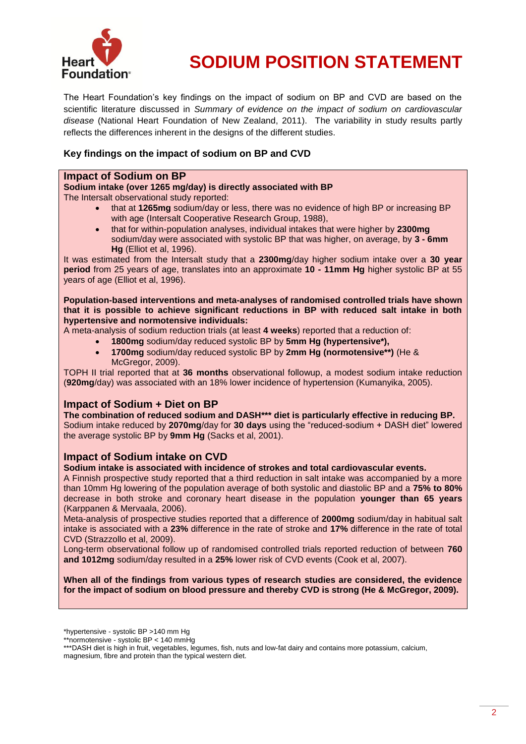

The Heart Foundation's key findings on the impact of sodium on BP and CVD are based on the scientific literature discussed in *Summary of evidence on the impact of sodium on cardiovascular disease* (National Heart Foundation of New Zealand, 2011). The variability in study results partly reflects the differences inherent in the designs of the different studies.

#### **Key findings on the impact of sodium on BP and CVD**

#### **Impact of Sodium on BP**

**Sodium intake (over 1265 mg/day) is directly associated with BP** The Intersalt observational study reported:

- that at **1265mg** sodium/day or less, there was no evidence of high BP or increasing BP with age (Intersalt Cooperative Research Group, 1988),
- that for within-population analyses, individual intakes that were higher by **2300mg**  sodium/day were associated with systolic BP that was higher, on average, by **3 - 6mm Hg** (Elliot et al, 1996).

It was estimated from the Intersalt study that a **2300mg**/day higher sodium intake over a **30 year period** from 25 years of age, translates into an approximate **10 - 11mm Hg** higher systolic BP at 55 years of age (Elliot et al, 1996).

**Population-based interventions and meta-analyses of randomised controlled trials have shown that it is possible to achieve significant reductions in BP with reduced salt intake in both hypertensive and normotensive individuals:**

A meta-analysis of sodium reduction trials (at least **4 weeks**) reported that a reduction of:

- **1800mg** sodium/day reduced systolic BP by **5mm Hg (hypertensive\*),**
- **1700mg** sodium/day reduced systolic BP by **2mm Hg (normotensive\*\*)** (He & McGregor, 2009).

TOPH II trial reported that at **36 months** observational followup, a modest sodium intake reduction (**920mg**/day) was associated with an 18% lower incidence of hypertension (Kumanyika, 2005).

#### **Impact of Sodium + Diet on BP**

**The combination of reduced sodium and DASH\*\*\* diet is particularly effective in reducing BP.** Sodium intake reduced by **2070mg**/day for **30 days** using the "reduced-sodium + DASH diet" lowered the average systolic BP by **9mm Hg** (Sacks et al, 2001).

#### **Impact of Sodium intake on CVD**

**Sodium intake is associated with incidence of strokes and total cardiovascular events.**

A Finnish prospective study reported that a third reduction in salt intake was accompanied by a more than 10mm Hg lowering of the population average of both systolic and diastolic BP and a **75% to 80%** decrease in both stroke and coronary heart disease in the population **younger than 65 years** (Karppanen & Mervaala, 2006).

Meta-analysis of prospective studies reported that a difference of **2000mg** sodium/day in habitual salt intake is associated with a **23%** difference in the rate of stroke and **17%** difference in the rate of total CVD (Strazzollo et al, 2009).

Long-term observational follow up of randomised controlled trials reported reduction of between **760 and 1012mg** sodium/day resulted in a **25%** lower risk of CVD events (Cook et al, 2007).

**When all of the findings from various types of research studies are considered, the evidence for the impact of sodium on blood pressure and thereby CVD is strong (He & McGregor, 2009).**

<sup>\*</sup>hypertensive - systolic BP >140 mm Hg

<sup>\*\*</sup>normotensive - systolic BP < 140 mmHg

<sup>\*\*\*</sup>DASH diet is high in fruit, vegetables, legumes, fish, nuts and low-fat dairy and contains more potassium, calcium, magnesium, fibre and protein than the typical western diet.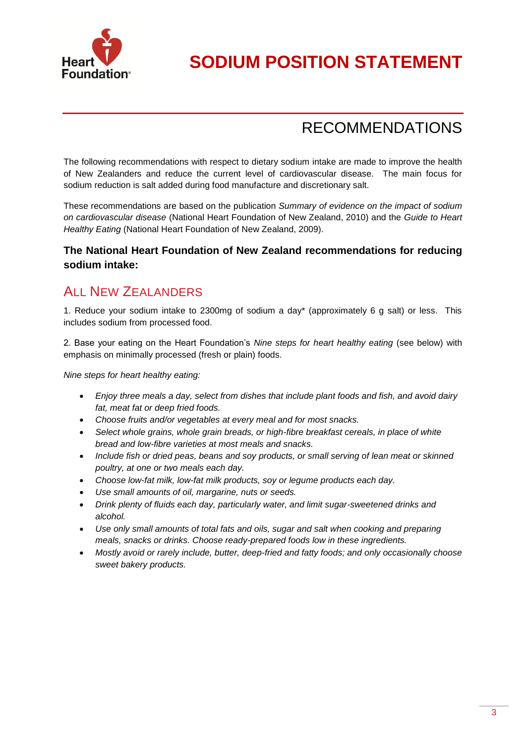

## RECOMMENDATIONS

The following recommendations with respect to dietary sodium intake are made to improve the health of New Zealanders and reduce the current level of cardiovascular disease. The main focus for sodium reduction is salt added during food manufacture and discretionary salt.

These recommendations are based on the publication *Summary of evidence on the impact of sodium on cardiovascular disease* (National Heart Foundation of New Zealand, 2010) and the *Guide to Heart Healthy Eating* (National Heart Foundation of New Zealand, 2009).

#### **The National Heart Foundation of New Zealand recommendations for reducing sodium intake:**

### **ALL NEW ZEALANDERS**

1. Reduce your sodium intake to 2300mg of sodium a day\* (approximately 6 g salt) or less. This includes sodium from processed food.

2. Base your eating on the Heart Foundation's *Nine steps for heart healthy eating* (see below) with emphasis on minimally processed (fresh or plain) foods.

*Nine steps for heart healthy eating:*

- *Enjoy three meals a day, select from dishes that include plant foods and fish, and avoid dairy fat, meat fat or deep fried foods.*
- *Choose fruits and/or vegetables at every meal and for most snacks.*
- *Select whole grains, whole grain breads, or high-fibre breakfast cereals, in place of white bread and low-fibre varieties at most meals and snacks.*
- *Include fish or dried peas, beans and soy products, or small serving of lean meat or skinned poultry, at one or two meals each day.*
- *Choose low-fat milk, low-fat milk products, soy or legume products each day.*
- *Use small amounts of oil, margarine, nuts or seeds.*
- *Drink plenty of fluids each day, particularly water, and limit sugar-sweetened drinks and alcohol.*
- *Use only small amounts of total fats and oils, sugar and salt when cooking and preparing meals, snacks or drinks. Choose ready-prepared foods low in these ingredients.*
- *Mostly avoid or rarely include, butter, deep-fried and fatty foods; and only occasionally choose sweet bakery products.*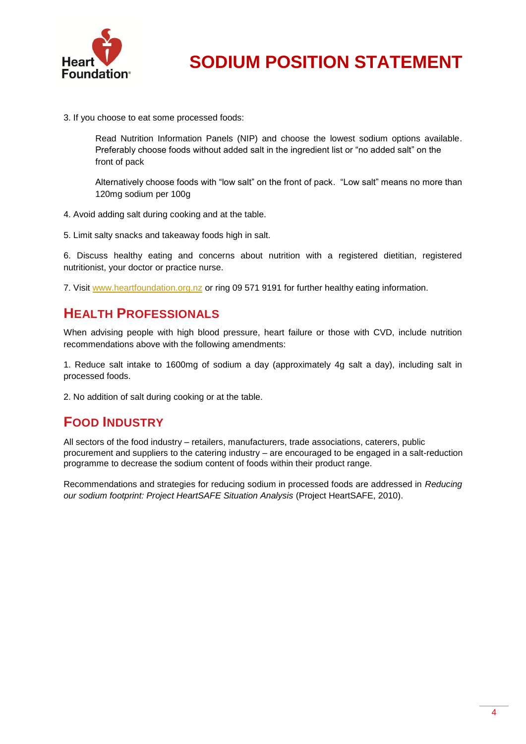

3. If you choose to eat some processed foods:

Read Nutrition Information Panels (NIP) and choose the lowest sodium options available. Preferably choose foods without added salt in the ingredient list or "no added salt" on the front of pack

Alternatively choose foods with "low salt" on the front of pack. "Low salt" means no more than 120mg sodium per 100g

4. Avoid adding salt during cooking and at the table.

5. Limit salty snacks and takeaway foods high in salt.

6. Discuss healthy eating and concerns about nutrition with a registered dietitian, registered nutritionist, your doctor or practice nurse.

7. Visit [www.heartfoundation.org.nz](http://www.heartfoundation.org.nz/) or ring 09 571 9191 for further healthy eating information.

### **HEALTH PROFESSIONALS**

When advising people with high blood pressure, heart failure or those with CVD, include nutrition recommendations above with the following amendments:

1. Reduce salt intake to 1600mg of sodium a day (approximately 4g salt a day), including salt in processed foods.

2. No addition of salt during cooking or at the table.

### **FOOD INDUSTRY**

All sectors of the food industry – retailers, manufacturers, trade associations, caterers, public procurement and suppliers to the catering industry – are encouraged to be engaged in a salt-reduction programme to decrease the sodium content of foods within their product range.

Recommendations and strategies for reducing sodium in processed foods are addressed in *Reducing our sodium footprint: Project HeartSAFE Situation Analysis* (Project HeartSAFE, 2010).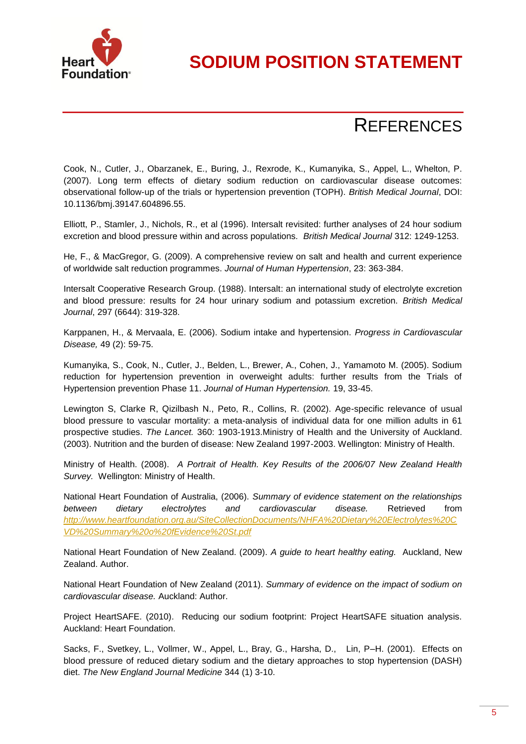

# **REFERENCES**

Cook, N., Cutler, J., Obarzanek, E., Buring, J., Rexrode, K., Kumanyika, S., Appel, L., Whelton, P. (2007). Long term effects of dietary sodium reduction on cardiovascular disease outcomes: observational follow-up of the trials or hypertension prevention (TOPH). *British Medical Journal*, DOI: 10.1136/bmj.39147.604896.55.

Elliott, P., Stamler, J., Nichols, R., et al (1996). Intersalt revisited: further analyses of 24 hour sodium excretion and blood pressure within and across populations*. British Medical Journal* 312: 1249-1253.

He, F., & MacGregor, G. (2009). A comprehensive review on salt and health and current experience of worldwide salt reduction programmes. *Journal of Human Hypertension*, 23: 363-384.

Intersalt Cooperative Research Group. (1988). Intersalt: an international study of electrolyte excretion and blood pressure: results for 24 hour urinary sodium and potassium excretion. *British Medical Journal*, 297 (6644): 319-328.

Karppanen, H., & Mervaala, E. (2006). Sodium intake and hypertension. *Progress in Cardiovascular Disease,* 49 (2): 59-75.

Kumanyika, S., Cook, N., Cutler, J., Belden, L., Brewer, A., Cohen, J., Yamamoto M. (2005). Sodium reduction for hypertension prevention in overweight adults: further results from the Trials of Hypertension prevention Phase 11. *Journal of Human Hypertension.* 19, 33-45.

Lewington S, Clarke R, Qizilbash N., Peto, R., Collins, R. (2002). Age-specific relevance of usual blood pressure to vascular mortality: a meta-analysis of individual data for one million adults in 61 prospective studies. *The Lancet.* 360: 1903-1913.Ministry of Health and the University of Auckland. (2003). Nutrition and the burden of disease: New Zealand 1997-2003. Wellington: Ministry of Health.

Ministry of Health. (2008). *A Portrait of Health. Key Results of the 2006/07 New Zealand Health Survey.* Wellington: Ministry of Health.

National Heart Foundation of Australia, (2006). *Summary of evidence statement on the relationships between dietary electrolytes and cardiovascular disease.* Retrieved from *[http://www.heartfoundation.org.au/SiteCollectionDocuments/NHFA%20Dietary%20Electrolytes%20C](http://www.heartfoundation.org.au/SiteCollectionDocuments/NHFA%20Dietary%20Electrolytes%20CVD%20Summary%20o%20fEvidence%20St.pdf) [VD%20Summary%20o%20fEvidence%20St.pdf](http://www.heartfoundation.org.au/SiteCollectionDocuments/NHFA%20Dietary%20Electrolytes%20CVD%20Summary%20o%20fEvidence%20St.pdf)*

National Heart Foundation of New Zealand. (2009). *A guide to heart healthy eating.* Auckland, New Zealand. Author.

National Heart Foundation of New Zealand (2011). *Summary of evidence on the impact of sodium on cardiovascular disease.* Auckland: Author.

Project HeartSAFE. (2010). Reducing our sodium footprint: Project HeartSAFE situation analysis. Auckland: Heart Foundation.

Sacks, F., Svetkey, L., Vollmer, W., Appel, L., Bray, G., Harsha, D., Lin, P–H. (2001). Effects on blood pressure of reduced dietary sodium and the dietary approaches to stop hypertension (DASH) diet. *The New England Journal Medicine* 344 (1) 3-10.